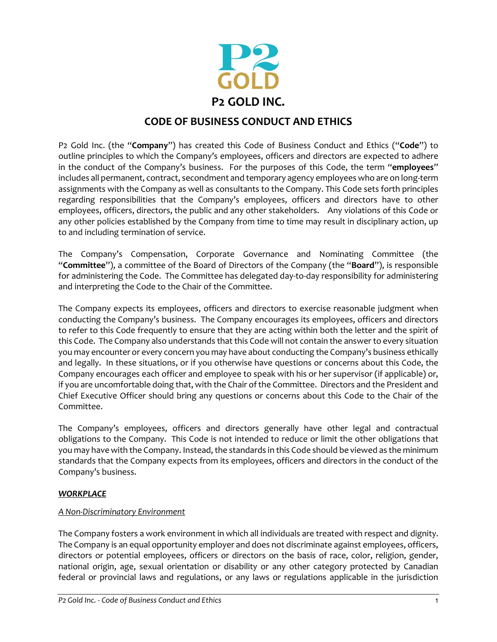

# **CODE OF BUSINESS CONDUCT AND ETHICS**

P2 Gold Inc. (the "**Company**") has created this Code of Business Conduct and Ethics ("**Code**") to outline principles to which the Company's employees, officers and directors are expected to adhere in the conduct of the Company's business. For the purposes of this Code, the term "**employees**" includes all permanent, contract, secondment and temporary agency employees who are on long-term assignments with the Company as well as consultants to the Company. This Code sets forth principles regarding responsibilities that the Company's employees, officers and directors have to other employees, officers, directors, the public and any other stakeholders. Any violations of this Code or any other policies established by the Company from time to time may result in disciplinary action, up to and including termination of service.

The Company's Compensation, Corporate Governance and Nominating Committee (the "**Committee**"), a committee of the Board of Directors of the Company (the "**Board**"), is responsible for administering the Code. The Committee has delegated day-to-day responsibility for administering and interpreting the Code to the Chair of the Committee.

The Company expects its employees, officers and directors to exercise reasonable judgment when conducting the Company's business. The Company encourages its employees, officers and directors to refer to this Code frequently to ensure that they are acting within both the letter and the spirit of this Code. The Company also understands that this Code will not contain the answer to every situation you may encounter or every concern you may have about conducting the Company's business ethically and legally. In these situations, or if you otherwise have questions or concerns about this Code, the Company encourages each officer and employee to speak with his or her supervisor (if applicable) or, if you are uncomfortable doing that, with the Chair of the Committee. Directors and the President and Chief Executive Officer should bring any questions or concerns about this Code to the Chair of the Committee.

The Company's employees, officers and directors generally have other legal and contractual obligations to the Company. This Code is not intended to reduce or limit the other obligations that you may have with the Company. Instead, the standards in this Code should be viewed as the minimum standards that the Company expects from its employees, officers and directors in the conduct of the Company's business.

### *WORKPLACE*

#### *A Non-Discriminatory Environment*

The Company fosters a work environment in which all individuals are treated with respect and dignity. The Company is an equal opportunity employer and does not discriminate against employees, officers, directors or potential employees, officers or directors on the basis of race, color, religion, gender, national origin, age, sexual orientation or disability or any other category protected by Canadian federal or provincial laws and regulations, or any laws or regulations applicable in the jurisdiction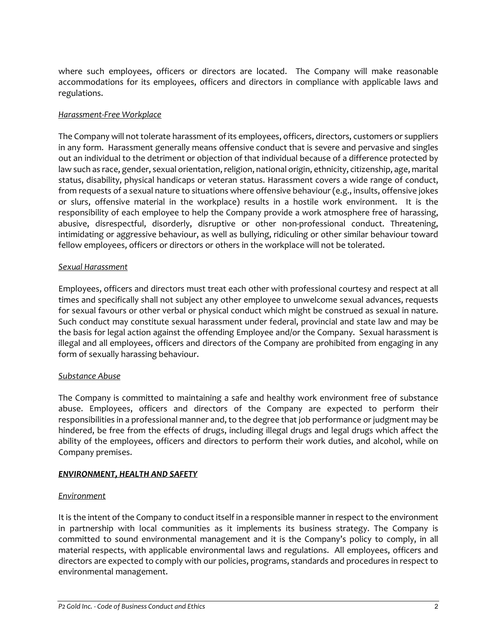where such employees, officers or directors are located. The Company will make reasonable accommodations for its employees, officers and directors in compliance with applicable laws and regulations.

#### *Harassment-Free Workplace*

The Company will not tolerate harassment of its employees, officers, directors, customers or suppliers in any form. Harassment generally means offensive conduct that is severe and pervasive and singles out an individual to the detriment or objection of that individual because of a difference protected by law such as race, gender, sexual orientation, religion, national origin, ethnicity, citizenship, age, marital status, disability, physical handicaps or veteran status. Harassment covers a wide range of conduct, from requests of a sexual nature to situations where offensive behaviour (e.g., insults, offensive jokes or slurs, offensive material in the workplace) results in a hostile work environment. It is the responsibility of each employee to help the Company provide a work atmosphere free of harassing, abusive, disrespectful, disorderly, disruptive or other non-professional conduct. Threatening, intimidating or aggressive behaviour, as well as bullying, ridiculing or other similar behaviour toward fellow employees, officers or directors or others in the workplace will not be tolerated.

#### *Sexual Harassment*

Employees, officers and directors must treat each other with professional courtesy and respect at all times and specifically shall not subject any other employee to unwelcome sexual advances, requests for sexual favours or other verbal or physical conduct which might be construed as sexual in nature. Such conduct may constitute sexual harassment under federal, provincial and state law and may be the basis for legal action against the offending Employee and/or the Company. Sexual harassment is illegal and all employees, officers and directors of the Company are prohibited from engaging in any form of sexually harassing behaviour.

#### *Substance Abuse*

The Company is committed to maintaining a safe and healthy work environment free of substance abuse. Employees, officers and directors of the Company are expected to perform their responsibilities in a professional manner and, to the degree that job performance or judgment may be hindered, be free from the effects of drugs, including illegal drugs and legal drugs which affect the ability of the employees, officers and directors to perform their work duties, and alcohol, while on Company premises.

#### *ENVIRONMENT, HEALTH AND SAFETY*

#### *Environment*

It is the intent of the Company to conduct itself in a responsible manner in respect to the environment in partnership with local communities as it implements its business strategy. The Company is committed to sound environmental management and it is the Company's policy to comply, in all material respects, with applicable environmental laws and regulations. All employees, officers and directors are expected to comply with our policies, programs, standards and procedures in respect to environmental management.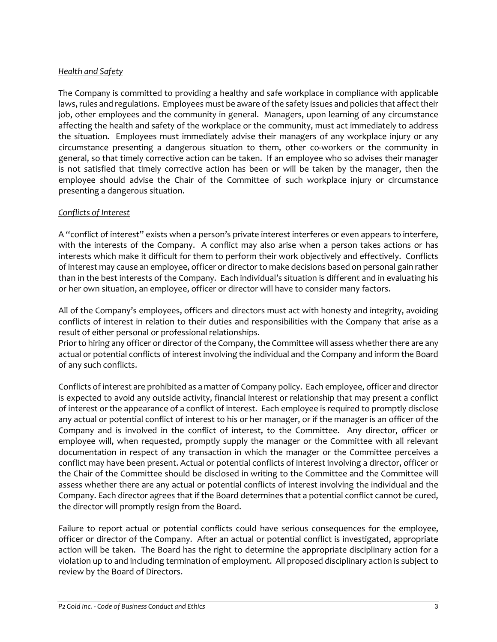## *Health and Safety*

The Company is committed to providing a healthy and safe workplace in compliance with applicable laws, rules and regulations. Employees must be aware of the safety issues and policies that affect their job, other employees and the community in general. Managers, upon learning of any circumstance affecting the health and safety of the workplace or the community, must act immediately to address the situation. Employees must immediately advise their managers of any workplace injury or any circumstance presenting a dangerous situation to them, other co-workers or the community in general, so that timely corrective action can be taken. If an employee who so advises their manager is not satisfied that timely corrective action has been or will be taken by the manager, then the employee should advise the Chair of the Committee of such workplace injury or circumstance presenting a dangerous situation.

### *Conflicts of Interest*

A "conflict of interest" exists when a person's private interest interferes or even appears to interfere, with the interests of the Company. A conflict may also arise when a person takes actions or has interests which make it difficult for them to perform their work objectively and effectively. Conflicts of interest may cause an employee, officer or director to make decisions based on personal gain rather than in the best interests of the Company. Each individual's situation is different and in evaluating his or her own situation, an employee, officer or director will have to consider many factors.

All of the Company's employees, officers and directors must act with honesty and integrity, avoiding conflicts of interest in relation to their duties and responsibilities with the Company that arise as a result of either personal or professional relationships.

Prior to hiring any officer or director of the Company, the Committee will assess whether there are any actual or potential conflicts of interest involving the individual and the Company and inform the Board of any such conflicts.

Conflicts of interest are prohibited as a matter of Company policy. Each employee, officer and director is expected to avoid any outside activity, financial interest or relationship that may present a conflict of interest or the appearance of a conflict of interest. Each employee is required to promptly disclose any actual or potential conflict of interest to his or her manager, or if the manager is an officer of the Company and is involved in the conflict of interest, to the Committee. Any director, officer or employee will, when requested, promptly supply the manager or the Committee with all relevant documentation in respect of any transaction in which the manager or the Committee perceives a conflict may have been present. Actual or potential conflicts of interest involving a director, officer or the Chair of the Committee should be disclosed in writing to the Committee and the Committee will assess whether there are any actual or potential conflicts of interest involving the individual and the Company. Each director agrees that if the Board determines that a potential conflict cannot be cured, the director will promptly resign from the Board.

Failure to report actual or potential conflicts could have serious consequences for the employee, officer or director of the Company. After an actual or potential conflict is investigated, appropriate action will be taken. The Board has the right to determine the appropriate disciplinary action for a violation up to and including termination of employment. All proposed disciplinary action is subject to review by the Board of Directors.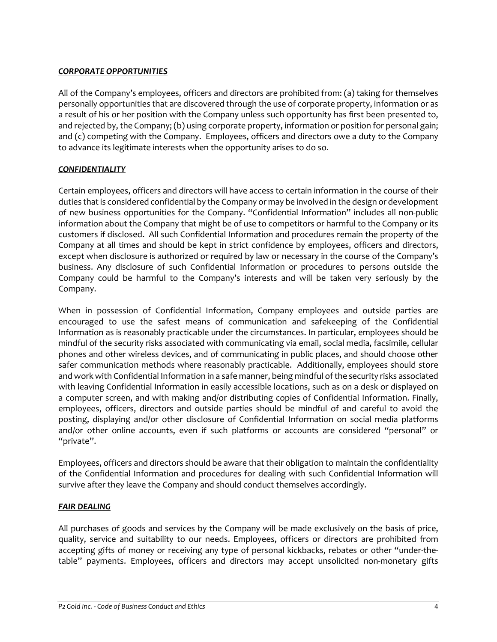### *CORPORATE OPPORTUNITIES*

All of the Company's employees, officers and directors are prohibited from: (a) taking for themselves personally opportunities that are discovered through the use of corporate property, information or as a result of his or her position with the Company unless such opportunity has first been presented to, and rejected by, the Company; (b) using corporate property, information or position for personal gain; and (c) competing with the Company. Employees, officers and directors owe a duty to the Company to advance its legitimate interests when the opportunity arises to do so.

## *CONFIDENTIALITY*

Certain employees, officers and directors will have access to certain information in the course of their duties that is considered confidential by the Company or may be involved in the design or development of new business opportunities for the Company. "Confidential Information" includes all non-public information about the Company that might be of use to competitors or harmful to the Company or its customers if disclosed. All such Confidential Information and procedures remain the property of the Company at all times and should be kept in strict confidence by employees, officers and directors, except when disclosure is authorized or required by law or necessary in the course of the Company's business. Any disclosure of such Confidential Information or procedures to persons outside the Company could be harmful to the Company's interests and will be taken very seriously by the Company.

When in possession of Confidential Information, Company employees and outside parties are encouraged to use the safest means of communication and safekeeping of the Confidential Information as is reasonably practicable under the circumstances. In particular, employees should be mindful of the security risks associated with communicating via email, social media, facsimile, cellular phones and other wireless devices, and of communicating in public places, and should choose other safer communication methods where reasonably practicable. Additionally, employees should store and work with Confidential Information in a safe manner, being mindful of the security risks associated with leaving Confidential Information in easily accessible locations, such as on a desk or displayed on a computer screen, and with making and/or distributing copies of Confidential Information. Finally, employees, officers, directors and outside parties should be mindful of and careful to avoid the posting, displaying and/or other disclosure of Confidential Information on social media platforms and/or other online accounts, even if such platforms or accounts are considered "personal" or "private".

Employees, officers and directors should be aware that their obligation to maintain the confidentiality of the Confidential Information and procedures for dealing with such Confidential Information will survive after they leave the Company and should conduct themselves accordingly.

### *FAIR DEALING*

All purchases of goods and services by the Company will be made exclusively on the basis of price, quality, service and suitability to our needs. Employees, officers or directors are prohibited from accepting gifts of money or receiving any type of personal kickbacks, rebates or other "under-thetable" payments. Employees, officers and directors may accept unsolicited non-monetary gifts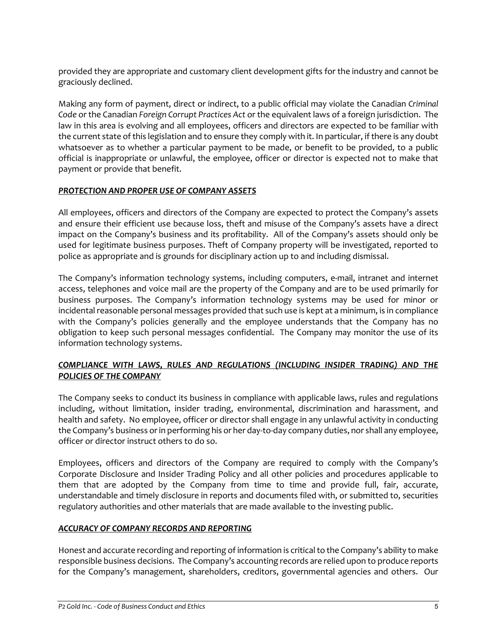provided they are appropriate and customary client development gifts for the industry and cannot be graciously declined.

Making any form of payment, direct or indirect, to a public official may violate the Canadian *Criminal Code* or the Canadian *Foreign Corrupt Practices Act* or the equivalent laws of a foreign jurisdiction. The law in this area is evolving and all employees, officers and directors are expected to be familiar with the current state of this legislation and to ensure they comply with it. In particular, if there is any doubt whatsoever as to whether a particular payment to be made, or benefit to be provided, to a public official is inappropriate or unlawful, the employee, officer or director is expected not to make that payment or provide that benefit.

## *PROTECTION AND PROPER USE OF COMPANY ASSETS*

All employees, officers and directors of the Company are expected to protect the Company's assets and ensure their efficient use because loss, theft and misuse of the Company's assets have a direct impact on the Company's business and its profitability. All of the Company's assets should only be used for legitimate business purposes. Theft of Company property will be investigated, reported to police as appropriate and is grounds for disciplinary action up to and including dismissal.

The Company's information technology systems, including computers, e-mail, intranet and internet access, telephones and voice mail are the property of the Company and are to be used primarily for business purposes. The Company's information technology systems may be used for minor or incidental reasonable personal messages provided that such use is kept at a minimum, is in compliance with the Company's policies generally and the employee understands that the Company has no obligation to keep such personal messages confidential. The Company may monitor the use of its information technology systems.

## *COMPLIANCE WITH LAWS, RULES AND REGULATIONS (INCLUDING INSIDER TRADING) AND THE POLICIES OF THE COMPANY*

The Company seeks to conduct its business in compliance with applicable laws, rules and regulations including, without limitation, insider trading, environmental, discrimination and harassment, and health and safety. No employee, officer or director shall engage in any unlawful activity in conducting the Company's business or in performing his or her day-to-day company duties, nor shall any employee, officer or director instruct others to do so.

Employees, officers and directors of the Company are required to comply with the Company's Corporate Disclosure and Insider Trading Policy and all other policies and procedures applicable to them that are adopted by the Company from time to time and provide full, fair, accurate, understandable and timely disclosure in reports and documents filed with, or submitted to, securities regulatory authorities and other materials that are made available to the investing public.

### *ACCURACY OF COMPANY RECORDS AND REPORTING*

Honest and accurate recording and reporting of information is critical to the Company's ability to make responsible business decisions. The Company's accounting records are relied upon to produce reports for the Company's management, shareholders, creditors, governmental agencies and others. Our